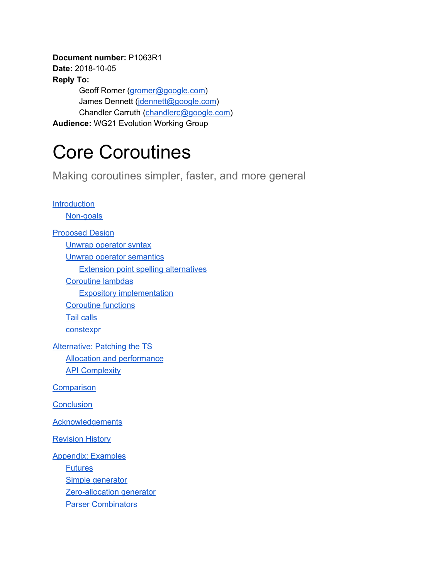**Document number:** P1063R1 **Date:** 2018-10-05 **Reply To:** Geoff Romer ([gromer@google.com](mailto:gromer@google.com)) James Dennett ([jdennett@google.com\)](mailto:jdennett@google.com) Chandler Carruth [\(chandlerc@google.com\)](mailto:chandlerc@google.com) **Audience:** WG21 Evolution Working Group

# Core Coroutines

Making coroutines simpler, faster, and more general

**[Introduction](#page-1-0)** [Non-goals](#page-2-0) [Proposed](#page-2-1) Design Unwrap [operator](#page-2-2) syntax Unwrap operator [semantics](#page-3-0) Extension point spelling [alternatives](#page-6-0) [Coroutine](#page-7-0) lambdas Expository [implementation](#page-9-0) [Coroutine](#page-11-0) functions Tail [calls](#page-14-0) **[constexpr](#page-16-0)** [Alternative:](#page-16-1) Patching the TS Allocation and [performance](#page-17-0) **API [Complexity](#page-18-0) [Comparison](#page-18-1) [Conclusion](#page-20-0)** [Acknowledgements](#page-21-0) **[Revision](#page-21-1) History** [Appendix:](#page-22-0) Examples **[Futures](#page-22-1)** Simple [generator](#page-27-0) [Zero-allocation](#page-30-0) generator Parser [Combinators](#page-34-0)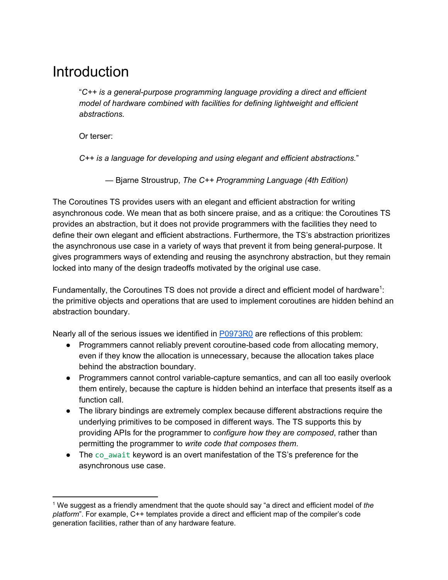### <span id="page-1-0"></span>**Introduction**

"*C++ is a general-purpose programming language providing a direct and efficient model of hardware combined with facilities for defining lightweight and efficient abstractions.*

Or terser:

*C++ is a language for developing and using elegant and efficient abstractions.*"

— Bjarne Stroustrup, *The C++ Programming Language (4th Edition)*

The Coroutines TS provides users with an elegant and efficient abstraction for writing asynchronous code. We mean that as both sincere praise, and as a critique: the Coroutines TS provides an abstraction, but it does not provide programmers with the facilities they need to define their own elegant and efficient abstractions. Furthermore, the TS's abstraction prioritizes the asynchronous use case in a variety of ways that prevent it from being general-purpose. It gives programmers ways of extending and reusing the asynchrony abstraction, but they remain locked into many of the design tradeoffs motivated by the original use case.

Fundamentally, the Coroutines TS does not provide a direct and efficient model of hardware<sup>1</sup>: the primitive objects and operations that are used to implement coroutines are hidden behind an abstraction boundary.

Nearly all of the serious issues we identified in [P0973R0](http://www.open-std.org/jtc1/sc22/wg21/docs/papers/2018/p0973r0.pdf) are reflections of this problem:

- Programmers cannot reliably prevent coroutine-based code from allocating memory, even if they know the allocation is unnecessary, because the allocation takes place behind the abstraction boundary.
- Programmers cannot control variable-capture semantics, and can all too easily overlook them entirely, because the capture is hidden behind an interface that presents itself as a function call.
- The library bindings are extremely complex because different abstractions require the underlying primitives to be composed in different ways. The TS supports this by providing APIs for the programmer to *configure how they are composed*, rather than permitting the programmer to *write code that composes them*.
- The co\_await keyword is an overt manifestation of the TS's preference for the asynchronous use case.

<sup>1</sup> We suggest as a friendly amendment that the quote should say "a direct and efficient model of *the platform*". For example, C++ templates provide a direct and efficient map of the compiler's code generation facilities, rather than of any hardware feature.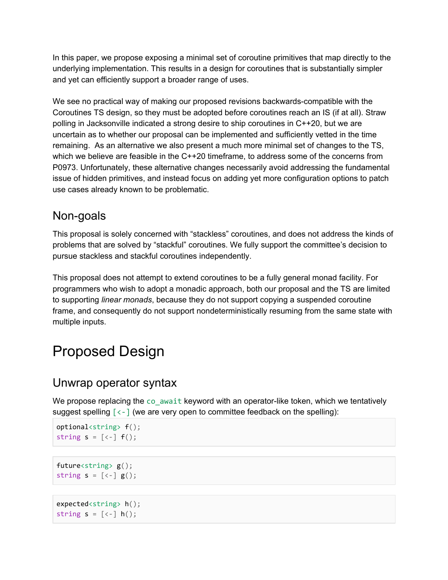In this paper, we propose exposing a minimal set of coroutine primitives that map directly to the underlying implementation. This results in a design for coroutines that is substantially simpler and yet can efficiently support a broader range of uses.

We see no practical way of making our proposed revisions backwards-compatible with the Coroutines TS design, so they must be adopted before coroutines reach an IS (if at all). Straw polling in Jacksonville indicated a strong desire to ship coroutines in C++20, but we are uncertain as to whether our proposal can be implemented and sufficiently vetted in the time remaining. As an alternative we also present a much more minimal set of changes to the TS, which we believe are feasible in the C++20 timeframe, to address some of the concerns from P0973. Unfortunately, these alternative changes necessarily avoid addressing the fundamental issue of hidden primitives, and instead focus on adding yet more configuration options to patch use cases already known to be problematic.

#### <span id="page-2-0"></span>Non-goals

This proposal is solely concerned with "stackless" coroutines, and does not address the kinds of problems that are solved by "stackful" coroutines. We fully support the committee's decision to pursue stackless and stackful coroutines independently.

This proposal does not attempt to extend coroutines to be a fully general monad facility. For programmers who wish to adopt a monadic approach, both our proposal and the TS are limited to supporting *linear monads*, because they do not support copying a suspended coroutine frame, and consequently do not support nondeterministically resuming from the same state with multiple inputs.

## <span id="page-2-1"></span>Proposed Design

#### <span id="page-2-2"></span>Unwrap operator syntax

We propose replacing the co\_await keyword with an operator-like token, which we tentatively suggest spelling  $\lceil \langle - \rceil$  (we are very open to committee feedback on the spelling):

```
optional<string> f();
string s = [(-1) f();
```

```
future\langlestring> g();
string s = [(-] g();
```

```
expected<string> h();
string s = [(-1) h();
```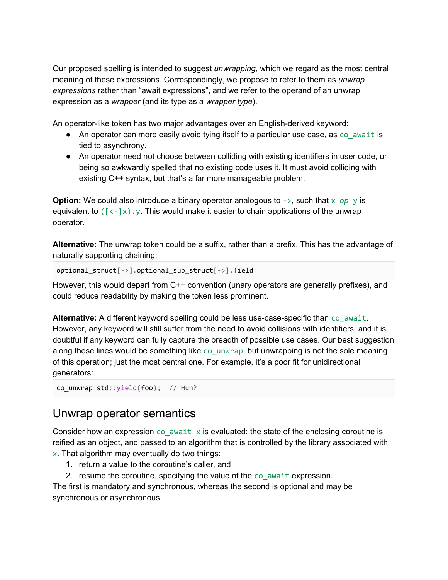Our proposed spelling is intended to suggest *unwrapping*, which we regard as the most central meaning of these expressions. Correspondingly, we propose to refer to them as *unwrap expressions* rather than "await expressions", and we refer to the operand of an unwrap expression as a *wrapper* (and its type as a *wrapper type*).

An operator-like token has two major advantages over an English-derived keyword:

- An operator can more easily avoid tying itself to a particular use case, as co await is tied to asynchrony.
- An operator need not choose between colliding with existing identifiers in user code, or being so awkwardly spelled that no existing code uses it. It must avoid colliding with existing C++ syntax, but that's a far more manageable problem.

**Option:** We could also introduce a binary operator analogous to  $\rightarrow$ , such that  $\times$  op  $\vee$  is equivalent to  $(\lceil \langle -\rangle \chi)$ . This would make it easier to chain applications of the unwrap operator.

**Alternative:** The unwrap token could be a suffix, rather than a prefix. This has the advantage of naturally supporting chaining:

optional\_struct[->].optional\_sub\_struct[->].field

However, this would depart from C++ convention (unary operators are generally prefixes), and could reduce readability by making the token less prominent.

Alternative: A different keyword spelling could be less use-case-specific than co\_await. However, any keyword will still suffer from the need to avoid collisions with identifiers, and it is doubtful if any keyword can fully capture the breadth of possible use cases. Our best suggestion along these lines would be something like co unwrap, but unwrapping is not the sole meaning of this operation; just the most central one. For example, it's a poor fit for unidirectional generators:

```
co unwrap std::yield(foo); // Huh?
```
#### <span id="page-3-0"></span>Unwrap operator semantics

Consider how an expression  $\cos$  await x is evaluated: the state of the enclosing coroutine is reified as an object, and passed to an algorithm that is controlled by the library associated with x. That algorithm may eventually do two things:

- 1. return a value to the coroutine's caller, and
- 2. resume the coroutine, specifying the value of the co await expression.

The first is mandatory and synchronous, whereas the second is optional and may be synchronous or asynchronous.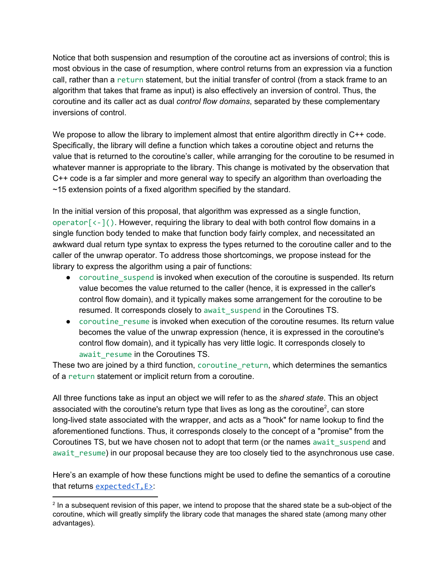Notice that both suspension and resumption of the coroutine act as inversions of control; this is most obvious in the case of resumption, where control returns from an expression via a function call, rather than a return statement, but the initial transfer of control (from a stack frame to an algorithm that takes that frame as input) is also effectively an inversion of control. Thus, the coroutine and its caller act as dual *control flow domains*, separated by these complementary inversions of control.

We propose to allow the library to implement almost that entire algorithm directly in C++ code. Specifically, the library will define a function which takes a coroutine object and returns the value that is returned to the coroutine's caller, while arranging for the coroutine to be resumed in whatever manner is appropriate to the library. This change is motivated by the observation that C++ code is a far simpler and more general way to specify an algorithm than overloading the ~15 extension points of a fixed algorithm specified by the standard.

In the initial version of this proposal, that algorithm was expressed as a single function, operator $\lceil \langle -1 \rangle$ . However, requiring the library to deal with both control flow domains in a single function body tended to make that function body fairly complex, and necessitated an awkward dual return type syntax to express the types returned to the coroutine caller and to the caller of the unwrap operator. To address those shortcomings, we propose instead for the library to express the algorithm using a pair of functions:

- coroutine\_suspend is invoked when execution of the coroutine is suspended. Its return value becomes the value returned to the caller (hence, it is expressed in the caller's control flow domain), and it typically makes some arrangement for the coroutine to be resumed. It corresponds closely to await\_suspend in the Coroutines TS.
- coroutine resume is invoked when execution of the coroutine resumes. Its return value becomes the value of the unwrap expression (hence, it is expressed in the coroutine's control flow domain), and it typically has very little logic. It corresponds closely to await resume in the Coroutines TS.

These two are joined by a third function, coroutine\_return, which determines the semantics of a return statement or implicit return from a coroutine.

All three functions take as input an object we will refer to as the *shared state*. This an object associated with the coroutine's return type that lives as long as the coroutine<sup>2</sup>, can store long-lived state associated with the wrapper, and acts as a "hook" for name lookup to find the aforementioned functions. Thus, it corresponds closely to the concept of a "promise" from the Coroutines TS, but we have chosen not to adopt that term (or the names await suspend and await resume) in our proposal because they are too closely tied to the asynchronous use case.

Here's an example of how these functions might be used to define the semantics of a coroutine that returns [expected<T,E>](http://www.open-std.org/jtc1/sc22/wg21/docs/papers/2018/p0323r6.html):

<sup>&</sup>lt;sup>2</sup> In a subsequent revision of this paper, we intend to propose that the shared state be a sub-object of the coroutine, which will greatly simplify the library code that manages the shared state (among many other advantages).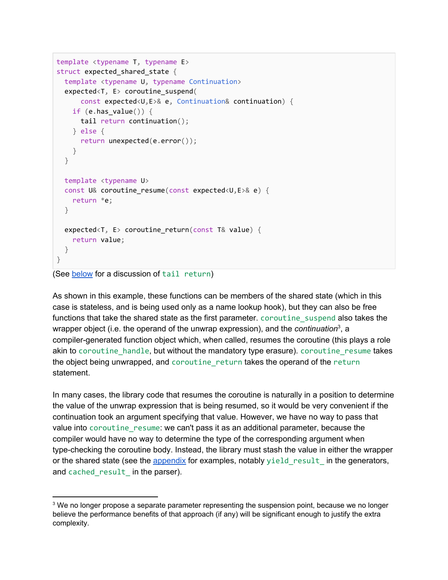```
template <typename T, typename E>
struct expected_shared_state {
 template <typename U, typename Continuation>
 expected<T, E> coroutine_suspend(
     const expected<U,E>& e, Continuation& continuation) {
   if (e.has_value()) {
     tail return continuation();
   } else {
     return unexpected(e.error());
   }
 }
 template <typename U>
 const U& coroutine_resume(const expected<U,E>& e) {
   return *e;
 }
 expected<T, E> coroutine_return(const T& value) {
   return value;
 }
}
```

```
(See below for a discussion of tail return)
```
As shown in this example, these functions can be members of the shared state (which in this case is stateless, and is being used only as a name lookup hook), but they can also be free functions that take the shared state as the first parameter. coroutine\_suspend also takes the wrapper object (i.e. the operand of the unwrap expression), and the *continuation*<sup>3</sup>, a compiler-generated function object which, when called, resumes the coroutine (this plays a role akin to coroutine handle, but without the mandatory type erasure). coroutine resume takes the object being unwrapped, and coroutine\_return takes the operand of the return statement.

In many cases, the library code that resumes the coroutine is naturally in a position to determine the value of the unwrap expression that is being resumed, so it would be very convenient if the continuation took an argument specifying that value. However, we have no way to pass that value into coroutine resume: we can't pass it as an additional parameter, because the compiler would have no way to determine the type of the corresponding argument when type-checking the coroutine body. Instead, the library must stash the value in either the wrapper or the shared state (see the [appendix](#page-22-0) for examples, notably yield result in the generators, and cached\_result\_ in the parser).

<sup>&</sup>lt;sup>3</sup> We no longer propose a separate parameter representing the suspension point, because we no longer believe the performance benefits of that approach (if any) will be significant enough to justify the extra complexity.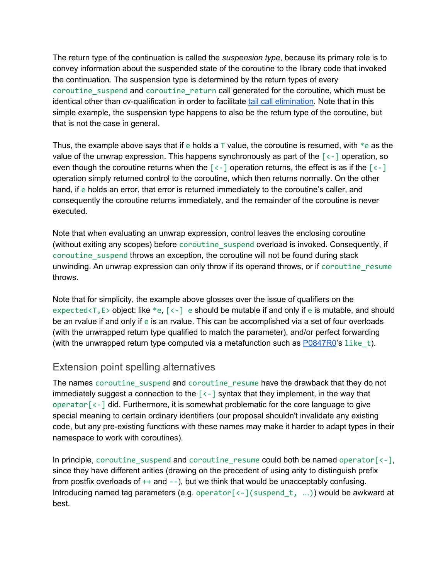The return type of the continuation is called the *suspension type*, because its primary role is to convey information about the suspended state of the coroutine to the library code that invoked the continuation. The suspension type is determined by the return types of every coroutine suspend and coroutine return call generated for the coroutine, which must be identical other than cv-qualification in order to facilitate tail call [elimination.](#page-14-0) Note that in this simple example, the suspension type happens to also be the return type of the coroutine, but that is not the case in general.

Thus, the example above says that if e holds a  $\top$  value, the coroutine is resumed, with  $\ast$ e as the value of the unwrap expression. This happens synchronously as part of the  $\lceil \langle - \rceil$  operation, so even though the coroutine returns when the  $\lceil \langle - \rceil$  operation returns, the effect is as if the  $\lceil \langle - \rceil$ operation simply returned control to the coroutine, which then returns normally. On the other hand, if e holds an error, that error is returned immediately to the coroutine's caller, and consequently the coroutine returns immediately, and the remainder of the coroutine is never executed.

Note that when evaluating an unwrap expression, control leaves the enclosing coroutine (without exiting any scopes) before coroutine\_suspend overload is invoked. Consequently, if coroutine suspend throws an exception, the coroutine will not be found during stack unwinding. An unwrap expression can only throw if its operand throws, or if coroutine resume throws.

Note that for simplicity, the example above glosses over the issue of qualifiers on the expected $\langle T, E \rangle$  object: like  $\ast e, \{ \langle - \rangle \}$  e should be mutable if and only if e is mutable, and should be an rvalue if and only if e is an rvalue. This can be accomplished via a set of four overloads (with the unwrapped return type qualified to match the parameter), and/or perfect forwarding (with the unwrapped return type computed via a metafunction such as  $P0847R0$ 's like t).

#### <span id="page-6-0"></span>Extension point spelling alternatives

The names coroutine\_suspend and coroutine\_resume have the drawback that they do not immediately suggest a connection to the  $\lceil \langle - \rceil \rceil$  syntax that they implement, in the way that operator[<-] did. Furthermore, it is somewhat problematic for the core language to give special meaning to certain ordinary identifiers (our proposal shouldn't invalidate any existing code, but any pre-existing functions with these names may make it harder to adapt types in their namespace to work with coroutines).

In principle, coroutine suspend and coroutine resume could both be named operator $\lceil < - \rceil$ , since they have different arities (drawing on the precedent of using arity to distinguish prefix from postfix overloads of  $++$  and  $--$ ), but we think that would be unacceptably confusing. Introducing named tag parameters (e.g. operator  $\lceil \langle -1 \rangle$  suspend  $t, \ldots$ )) would be awkward at best.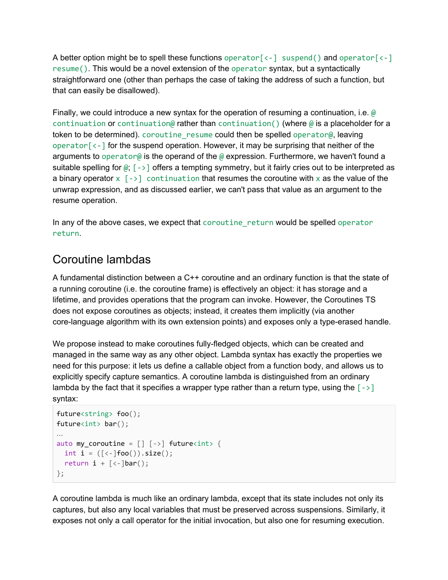A better option might be to spell these functions operator  $\lceil \langle - \rceil \rceil$  suspend() and operator  $\lceil \langle - \rceil \rceil$ resume(). This would be a novel extension of the operator syntax, but a syntactically straightforward one (other than perhaps the case of taking the address of such a function, but that can easily be disallowed).

Finally, we could introduce a new syntax for the operation of resuming a continuation, i.e. @ continuation or continuation@ rather than continuation() (where  $\emptyset$  is a placeholder for a token to be determined). coroutine resume could then be spelled operator@, leaving operator $\lceil \langle - \rceil$  for the suspend operation. However, it may be surprising that neither of the arguments to operator@ is the operand of the @ expression. Furthermore, we haven't found a suitable spelling for  $\omega$ ;  $\lceil -\rangle$  offers a tempting symmetry, but it fairly cries out to be interpreted as a binary operator  $x \sim -1$  continuation that resumes the coroutine with x as the value of the unwrap expression, and as discussed earlier, we can't pass that value as an argument to the resume operation.

In any of the above cases, we expect that coroutine return would be spelled operator return.

#### <span id="page-7-0"></span>Coroutine lambdas

A fundamental distinction between a C++ coroutine and an ordinary function is that the state of a running coroutine (i.e. the coroutine frame) is effectively an object: it has storage and a lifetime, and provides operations that the program can invoke. However, the Coroutines TS does not expose coroutines as objects; instead, it creates them implicitly (via another core-language algorithm with its own extension points) and exposes only a type-erased handle.

We propose instead to make coroutines fully-fledged objects, which can be created and managed in the same way as any other object. Lambda syntax has exactly the properties we need for this purpose: it lets us define a callable object from a function body, and allows us to explicitly specify capture semantics. A coroutine lambda is distinguished from an ordinary lambda by the fact that it specifies a wrapper type rather than a return type, using the  $\lceil - \rangle$ syntax:

```
future<string> foo();
future<int> bar();
…
auto my_coroutine = [] [->] future<int> {
 int i = ([(-] \text{foo}()) \text{.size}());return i + [\langle -]bar();
};
```
A coroutine lambda is much like an ordinary lambda, except that its state includes not only its captures, but also any local variables that must be preserved across suspensions. Similarly, it exposes not only a call operator for the initial invocation, but also one for resuming execution.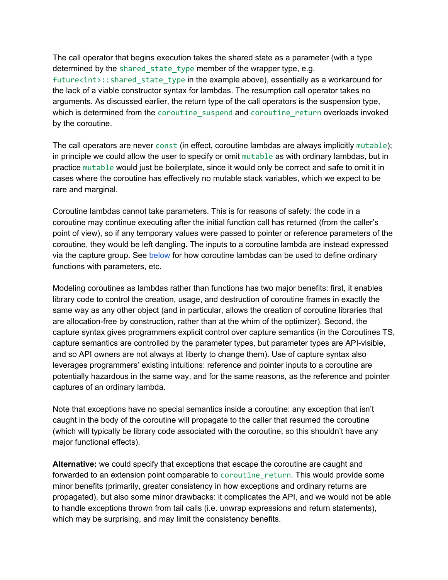The call operator that begins execution takes the shared state as a parameter (with a type determined by the shared state type member of the wrapper type, e.g. future<int>::shared\_state\_type in the example above), essentially as a workaround for the lack of a viable constructor syntax for lambdas. The resumption call operator takes no arguments. As discussed earlier, the return type of the call operators is the suspension type, which is determined from the coroutine\_suspend and coroutine\_return overloads invoked by the coroutine.

The call operators are never const (in effect, coroutine lambdas are always implicitly mutable); in principle we could allow the user to specify or omit mutable as with ordinary lambdas, but in practice mutable would just be boilerplate, since it would only be correct and safe to omit it in cases where the coroutine has effectively no mutable stack variables, which we expect to be rare and marginal.

Coroutine lambdas cannot take parameters. This is for reasons of safety: the code in a coroutine may continue executing after the initial function call has returned (from the caller's point of view), so if any temporary values were passed to pointer or reference parameters of the coroutine, they would be left dangling. The inputs to a coroutine lambda are instead expressed via the capture group. See [below](#page-11-0) for how coroutine lambdas can be used to define ordinary functions with parameters, etc.

Modeling coroutines as lambdas rather than functions has two major benefits: first, it enables library code to control the creation, usage, and destruction of coroutine frames in exactly the same way as any other object (and in particular, allows the creation of coroutine libraries that are allocation-free by construction, rather than at the whim of the optimizer). Second, the capture syntax gives programmers explicit control over capture semantics (in the Coroutines TS, capture semantics are controlled by the parameter types, but parameter types are API-visible, and so API owners are not always at liberty to change them). Use of capture syntax also leverages programmers' existing intuitions: reference and pointer inputs to a coroutine are potentially hazardous in the same way, and for the same reasons, as the reference and pointer captures of an ordinary lambda.

Note that exceptions have no special semantics inside a coroutine: any exception that isn't caught in the body of the coroutine will propagate to the caller that resumed the coroutine (which will typically be library code associated with the coroutine, so this shouldn't have any major functional effects).

**Alternative:** we could specify that exceptions that escape the coroutine are caught and forwarded to an extension point comparable to coroutine return. This would provide some minor benefits (primarily, greater consistency in how exceptions and ordinary returns are propagated), but also some minor drawbacks: it complicates the API, and we would not be able to handle exceptions thrown from tail calls (i.e. unwrap expressions and return statements), which may be surprising, and may limit the consistency benefits.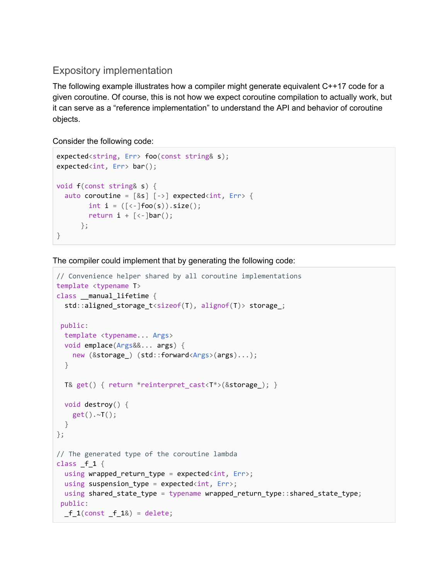#### <span id="page-9-0"></span>Expository implementation

The following example illustrates how a compiler might generate equivalent C++17 code for a given coroutine. Of course, this is not how we expect coroutine compilation to actually work, but it can serve as a "reference implementation" to understand the API and behavior of coroutine objects.

Consider the following code:

```
expected<string, Err> foo(const string& s);
expected<int, Err> bar();
void f(const string& s) {
  auto coroutine = [8s] [->] expected<int, Err> {
         int i = ( [ \langle - ] \text{foo}(s) ) . size( ) ;return i + [\langle -]bar();
       };
}
```
The compiler could implement that by generating the following code:

```
// Convenience helper shared by all coroutine implementations
template <typename T>
class __manual_lifetime {
 std::aligned_storage_t<sizeof(T), alignof(T)> storage_;
public:
 template <typename... Args>
 void emplace(Args&&... args) {
   new (&storage_) (std::forward<Args>(args)...);
 }
 T& get() { return *reinterpret_cast<T*>(&storage_); }
 void destroy() {
    get().~T();
 }
};
// The generated type of the coroutine lambda
class _f_1 {
 using wrapped_return_type = expected<int, Err>;
 using suspension_type = expected<sub>int</sub>, Err>;
 using shared_state_type = typename wrapped_return_type::shared_state_type;
public:
  -f_1(const -f_1&) = delete;
```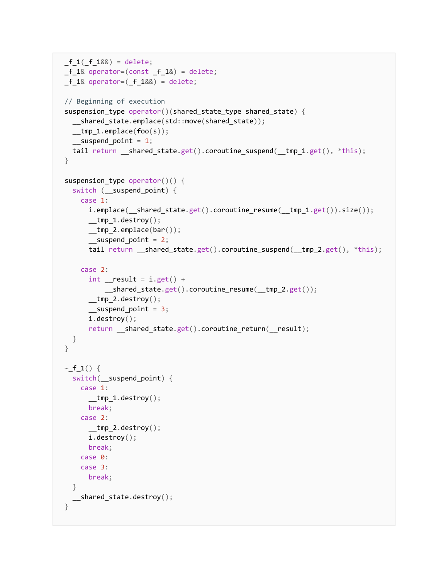```
_f_1(f_1&\&0) = delete;-f_1& operator=(const -f_1&) = delete;
-f_1& operator=(f_1&8) = delete;
// Beginning of execution
suspension_type operator()(shared_state_type shared_state) {
  __shared_state.emplace(std::move(shared_state));
  __tmp_1.emplace(foo(s));
  _ suspend point = 1;
  tail return __shared_state.get().coroutine_suspend(__tmp_1.get(), *this);
}
suspension_type operator()() {
  switch (__suspend_point) {
    case 1:
      i.emplace( shared state.get().coroutine resume( tmp 1.get()).size());
      __tmp_1.destroy();__tmp_2.emplace(bar());
      __suspend_point = 2;
      tail return __shared_state.get().coroutine_suspend(__tmp_2.get(), *this);
    case 2:
      int _result = i.get() +__shared_state.get().coroutine_resume(__tmp_2.get());
      __tmp_2.destroy();
      _suspend_point = 3;
     i.destroy();
      return __shared_state.get().coroutine_return(__result);
 }
}
\sim f_1() {
  switch(__suspend_point) {
   case 1:
      _t _tmp_1.destroy();
     break;
    case 2:
      __tmp_2.destroy();
      i.destroy();
     break;
    case 0:
    case 3:
      break;
 }
 __shared_state.destroy();
}
```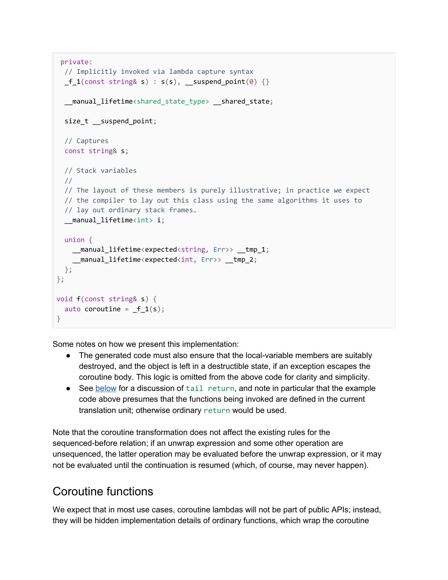```
private:
 // Implicitly invoked via lambda capture syntax
 -f_1(const string& s) : s(s), __suspend_point(0) {}
  __manual_lifetime<shared_state_type> __shared_state;
  size_t __suspend_point;
  // Captures
  const string& s;
  // Stack variables
  //
  // The layout of these members is purely illustrative; in practice we expect
  // the compiler to lay out this class using the same algorithms it uses to
  // lay out ordinary stack frames.
  __manual_lifetime<int> i;
 union {
    __manual_lifetime<expected<string, Err>> __tmp_1;
    __manual_lifetime<expected<int, Err>> __tmp_2;
 };
};
void f(const string& s) {
  auto coroutine = _f_1(s);
}
```
Some notes on how we present this implementation:

- The generated code must also ensure that the local-variable members are suitably destroyed, and the object is left in a destructible state, if an exception escapes the coroutine body. This logic is omitted from the above code for clarity and simplicity.
- See [below](https://docs.google.com/document/d/1hntr14MqSozljVk7mMPbFkmi2MkoGit7k8lqg-Jm03I/edit?disco=AAAABzfS3tI&ts=5b610a50#heading=h.p0adl5mu4m45) for a discussion of tail return, and note in particular that the example code above presumes that the functions being invoked are defined in the current translation unit; otherwise ordinary return would be used.

Note that the coroutine transformation does not affect the existing rules for the sequenced-before relation; if an unwrap expression and some other operation are unsequenced, the latter operation may be evaluated before the unwrap expression, or it may not be evaluated until the continuation is resumed (which, of course, may never happen).

### <span id="page-11-0"></span>Coroutine functions

We expect that in most use cases, coroutine lambdas will not be part of public APIs; instead, they will be hidden implementation details of ordinary functions, which wrap the coroutine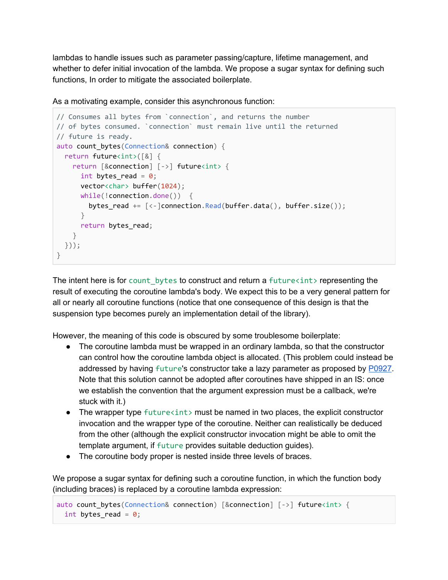lambdas to handle issues such as parameter passing/capture, lifetime management, and whether to defer initial invocation of the lambda. We propose a sugar syntax for defining such functions, In order to mitigate the associated boilerplate.

```
As a motivating example, consider this asynchronous function:
```

```
// Consumes all bytes from `connection`, and returns the number
// of bytes consumed. `connection` must remain live until the returned
// future is ready.
auto count bytes(Connection& connection) {
 return future<int>([&] {
    return [&connection] [->] future<int> {
     int bytes_read = 0;
      vector<char> buffer(1024);
      while(!connection.done()) {
        bytes_read += [\langle -]connection.Read(buffer.data(), buffer.size());
      }
      return bytes_read;
   }
 }));
}
```
The intent here is for count bytes to construct and return a future  $\langle int \rangle$  representing the result of executing the coroutine lambda's body. We expect this to be a very general pattern for all or nearly all coroutine functions (notice that one consequence of this design is that the suspension type becomes purely an implementation detail of the library).

However, the meaning of this code is obscured by some troublesome boilerplate:

- The coroutine lambda must be wrapped in an ordinary lambda, so that the constructor can control how the coroutine lambda object is allocated. (This problem could instead be addressed by having future's constructor take a lazy parameter as proposed by [P0927.](http://wg21.link/P0927) Note that this solution cannot be adopted after coroutines have shipped in an IS: once we establish the convention that the argument expression must be a callback, we're stuck with it.)
- The wrapper type  $future*int* > must be named in two places, the explicit constructor$ invocation and the wrapper type of the coroutine. Neither can realistically be deduced from the other (although the explicit constructor invocation might be able to omit the template argument, if future provides suitable deduction guides).
- The coroutine body proper is nested inside three levels of braces.

We propose a sugar syntax for defining such a coroutine function, in which the function body (including braces) is replaced by a coroutine lambda expression:

```
auto count bytes(Connection& connection) [&connection] [->] future<int> {
 int bytes_read = 0;
```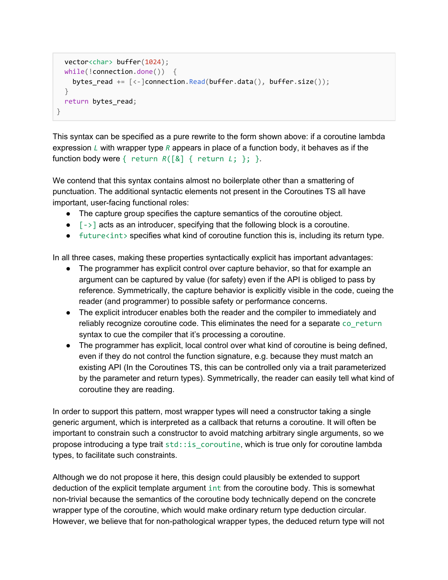```
vector<char> buffer(1024);
 while(!connection.done()) {
    bytes_read += [\langle -]connection.Read(buffer.data(), buffer.size());
  }
 return bytes_read;
}
```
This syntax can be specified as a pure rewrite to the form shown above: if a coroutine lambda expression *L* with wrapper type *R* appears in place of a function body, it behaves as if the function body were { return *R*([&] { return *L*; }; }.

We contend that this syntax contains almost no boilerplate other than a smattering of punctuation. The additional syntactic elements not present in the Coroutines TS all have important, user-facing functional roles:

- The capture group specifies the capture semantics of the coroutine object.
- $\bullet$   $\left[-\right]$  acts as an introducer, specifying that the following block is a coroutine.
- $\bullet$  future  $\sin t$  specifies what kind of coroutine function this is, including its return type.

In all three cases, making these properties syntactically explicit has important advantages:

- The programmer has explicit control over capture behavior, so that for example an argument can be captured by value (for safety) even if the API is obliged to pass by reference. Symmetrically, the capture behavior is explicitly visible in the code, cueing the reader (and programmer) to possible safety or performance concerns.
- The explicit introducer enables both the reader and the compiler to immediately and reliably recognize coroutine code. This eliminates the need for a separate co\_return syntax to cue the compiler that it's processing a coroutine.
- The programmer has explicit, local control over what kind of coroutine is being defined, even if they do not control the function signature, e.g. because they must match an existing API (In the Coroutines TS, this can be controlled only via a trait parameterized by the parameter and return types). Symmetrically, the reader can easily tell what kind of coroutine they are reading.

In order to support this pattern, most wrapper types will need a constructor taking a single generic argument, which is interpreted as a callback that returns a coroutine. It will often be important to constrain such a constructor to avoid matching arbitrary single arguments, so we propose introducing a type trait std:: is coroutine, which is true only for coroutine lambda types, to facilitate such constraints.

Although we do not propose it here, this design could plausibly be extended to support deduction of the explicit template argument int from the coroutine body. This is somewhat non-trivial because the semantics of the coroutine body technically depend on the concrete wrapper type of the coroutine, which would make ordinary return type deduction circular. However, we believe that for non-pathological wrapper types, the deduced return type will not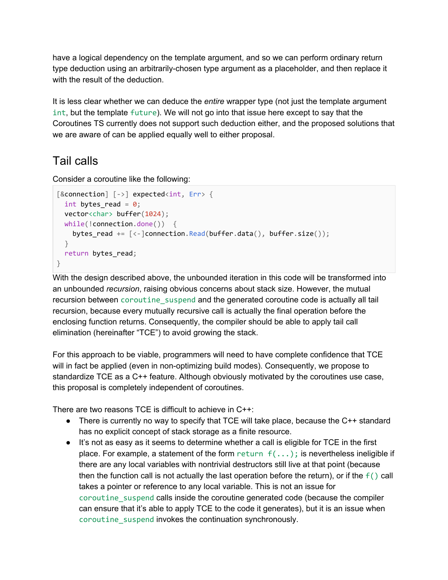have a logical dependency on the template argument, and so we can perform ordinary return type deduction using an arbitrarily-chosen type argument as a placeholder, and then replace it with the result of the deduction.

It is less clear whether we can deduce the *entire* wrapper type (not just the template argument int, but the template future). We will not go into that issue here except to say that the Coroutines TS currently does not support such deduction either, and the proposed solutions that we are aware of can be applied equally well to either proposal.

### <span id="page-14-0"></span>Tail calls

Consider a coroutine like the following:

```
[&connection] [->] expected<int, Err> {
  int bytes_read = 0;
 vector<char> buffer(1024);
 while(!connection.done()) {
    bytes_read += [\langle -]connection.Read(buffer.data(), buffer.size());
  }
 return bytes_read;
}
```
With the design described above, the unbounded iteration in this code will be transformed into an unbounded *recursion*, raising obvious concerns about stack size. However, the mutual recursion between coroutine suspend and the generated coroutine code is actually all tail recursion, because every mutually recursive call is actually the final operation before the enclosing function returns. Consequently, the compiler should be able to apply tail call elimination (hereinafter "TCE") to avoid growing the stack.

For this approach to be viable, programmers will need to have complete confidence that TCE will in fact be applied (even in non-optimizing build modes). Consequently, we propose to standardize TCE as a C++ feature. Although obviously motivated by the coroutines use case, this proposal is completely independent of coroutines.

There are two reasons TCE is difficult to achieve in C++:

- There is currently no way to specify that TCE will take place, because the C++ standard has no explicit concept of stack storage as a finite resource.
- It's not as easy as it seems to determine whether a call is eligible for TCE in the first place. For example, a statement of the form return  $f(\ldots)$ ; is nevertheless ineligible if there are any local variables with nontrivial destructors still live at that point (because then the function call is not actually the last operation before the return), or if the  $f()$  call takes a pointer or reference to any local variable. This is not an issue for coroutine\_suspend calls inside the coroutine generated code (because the compiler can ensure that it's able to apply TCE to the code it generates), but it is an issue when coroutine\_suspend invokes the continuation synchronously.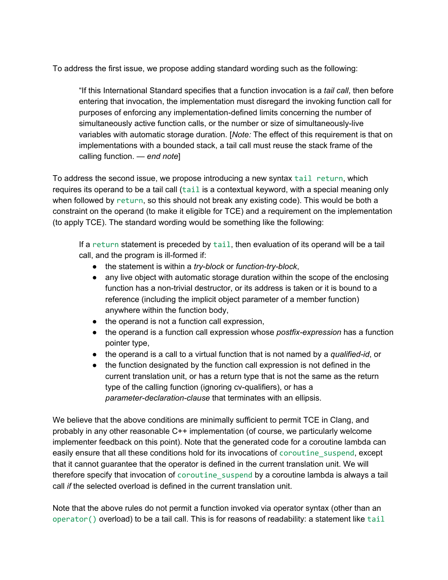To address the first issue, we propose adding standard wording such as the following:

"If this International Standard specifies that a function invocation is a *tail call*, then before entering that invocation, the implementation must disregard the invoking function call for purposes of enforcing any implementation-defined limits concerning the number of simultaneously active function calls, or the number or size of simultaneously-live variables with automatic storage duration. [*Note:* The effect of this requirement is that on implementations with a bounded stack, a tail call must reuse the stack frame of the calling function. — *end note*]

To address the second issue, we propose introducing a new syntax tail return, which requires its operand to be a tail call (tail is a contextual keyword, with a special meaning only when followed by return, so this should not break any existing code). This would be both a constraint on the operand (to make it eligible for TCE) and a requirement on the implementation (to apply TCE). The standard wording would be something like the following:

If a return statement is preceded by tail, then evaluation of its operand will be a tail call, and the program is ill-formed if:

- the statement is within a *try-block* or *function-try-block*,
- any live object with automatic storage duration within the scope of the enclosing function has a non-trivial destructor, or its address is taken or it is bound to a reference (including the implicit object parameter of a member function) anywhere within the function body,
- the operand is not a function call expression,
- the operand is a function call expression whose *postfix-expression* has a function pointer type,
- the operand is a call to a virtual function that is not named by a *qualified-id*, or
- the function designated by the function call expression is not defined in the current translation unit, or has a return type that is not the same as the return type of the calling function (ignoring cv-qualifiers), or has a *parameter-declaration-clause* that terminates with an ellipsis.

We believe that the above conditions are minimally sufficient to permit TCE in Clang, and probably in any other reasonable C++ implementation (of course, we particularly welcome implementer feedback on this point). Note that the generated code for a coroutine lambda can easily ensure that all these conditions hold for its invocations of coroutine suspend, except that it cannot guarantee that the operator is defined in the current translation unit. We will therefore specify that invocation of coroutine\_suspend by a coroutine lambda is always a tail call *if* the selected overload is defined in the current translation unit.

Note that the above rules do not permit a function invoked via operator syntax (other than an operator() overload) to be a tail call. This is for reasons of readability: a statement like tail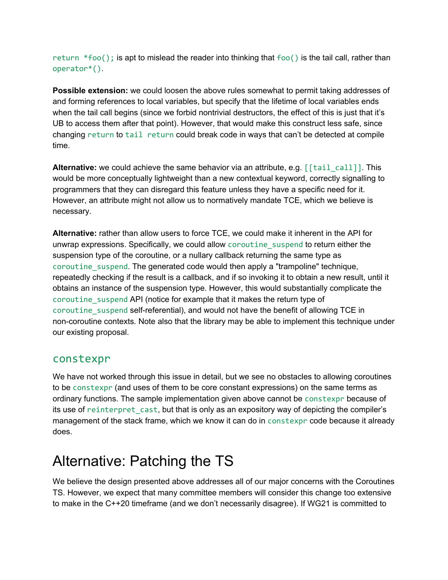return  $*foot$ ); is apt to mislead the reader into thinking that foo() is the tail call, rather than operator\*().

**Possible extension:** we could loosen the above rules somewhat to permit taking addresses of and forming references to local variables, but specify that the lifetime of local variables ends when the tail call begins (since we forbid nontrivial destructors, the effect of this is just that it's UB to access them after that point). However, that would make this construct less safe, since changing return to tail return could break code in ways that can't be detected at compile time.

**Alternative:** we could achieve the same behavior via an attribute, e.g. [[tail\_call]]. This would be more conceptually lightweight than a new contextual keyword, correctly signalling to programmers that they can disregard this feature unless they have a specific need for it. However, an attribute might not allow us to normatively mandate TCE, which we believe is necessary.

**Alternative:** rather than allow users to force TCE, we could make it inherent in the API for unwrap expressions. Specifically, we could allow coroutine\_suspend to return either the suspension type of the coroutine, or a nullary callback returning the same type as coroutine suspend. The generated code would then apply a "trampoline" technique, repeatedly checking if the result is a callback, and if so invoking it to obtain a new result, until it obtains an instance of the suspension type. However, this would substantially complicate the coroutine\_suspend API (notice for example that it makes the return type of coroutine\_suspend self-referential), and would not have the benefit of allowing TCE in non-coroutine contexts. Note also that the library may be able to implement this technique under our existing proposal.

#### <span id="page-16-0"></span>constexpr

We have not worked through this issue in detail, but we see no obstacles to allowing coroutines to be constexpr (and uses of them to be core constant expressions) on the same terms as ordinary functions. The sample implementation given above cannot be constexpr because of its use of reinterpret cast, but that is only as an expository way of depicting the compiler's management of the stack frame, which we know it can do in constexpr code because it already does.

### <span id="page-16-1"></span>Alternative: Patching the TS

We believe the design presented above addresses all of our major concerns with the Coroutines TS. However, we expect that many committee members will consider this change too extensive to make in the C++20 timeframe (and we don't necessarily disagree). If WG21 is committed to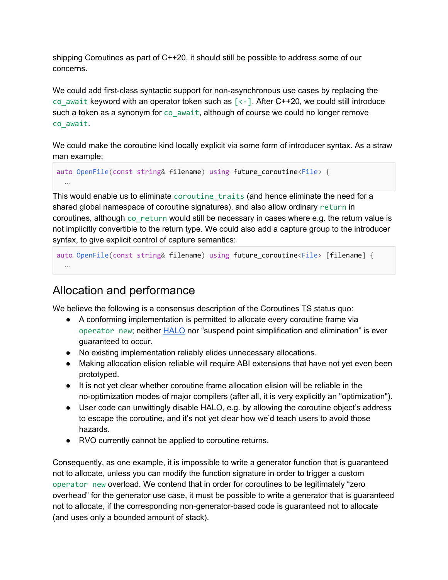shipping Coroutines as part of C++20, it should still be possible to address some of our concerns.

We could add first-class syntactic support for non-asynchronous use cases by replacing the co await keyword with an operator token such as  $\lceil \langle - \rceil \rceil$ . After C++20, we could still introduce such a token as a synonym for co\_await, although of course we could no longer remove co\_await.

We could make the coroutine kind locally explicit via some form of introducer syntax. As a straw man example:

```
auto OpenFile(const string& filename) using future_coroutine<File> {
  …
```
This would enable us to eliminate coroutine traits (and hence eliminate the need for a shared global namespace of coroutine signatures), and also allow ordinary return in coroutines, although co\_return would still be necessary in cases where e.g. the return value is not implicitly convertible to the return type. We could also add a capture group to the introducer syntax, to give explicit control of capture semantics:

```
auto OpenFile(const string& filename) using future_coroutine<File> [filename] {
 …
```
### <span id="page-17-0"></span>Allocation and performance

We believe the following is a consensus description of the Coroutines TS status quo:

- A conforming implementation is permitted to allocate every coroutine frame via operator new; neither [HALO](http://www.open-std.org/jtc1/sc22/wg21/docs/papers/2018/p0981r0.html) nor "suspend point simplification and elimination" is ever guaranteed to occur.
- No existing implementation reliably elides unnecessary allocations.
- Making allocation elision reliable will require ABI extensions that have not yet even been prototyped.
- It is not yet clear whether coroutine frame allocation elision will be reliable in the no-optimization modes of major compilers (after all, it is very explicitly an "optimization").
- User code can unwittingly disable HALO, e.g. by allowing the coroutine object's address to escape the coroutine, and it's not yet clear how we'd teach users to avoid those hazards.
- RVO currently cannot be applied to coroutine returns.

Consequently, as one example, it is impossible to write a generator function that is guaranteed not to allocate, unless you can modify the function signature in order to trigger a custom operator new overload. We contend that in order for coroutines to be legitimately "zero overhead" for the generator use case, it must be possible to write a generator that is guaranteed not to allocate, if the corresponding non-generator-based code is guaranteed not to allocate (and uses only a bounded amount of stack).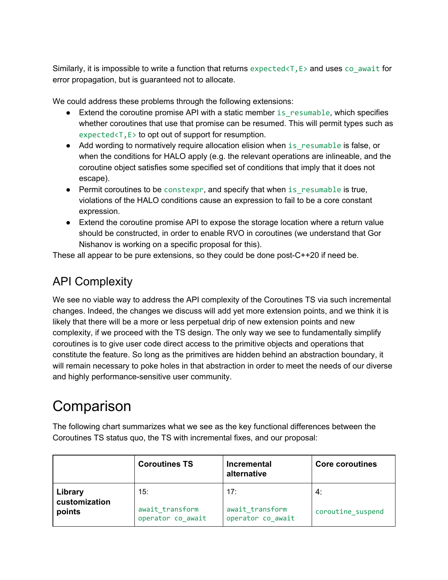Similarly, it is impossible to write a function that returns  $expected < T$ ,  $E >$  and uses  $co$  await for error propagation, but is guaranteed not to allocate.

We could address these problems through the following extensions:

- Extend the coroutine promise API with a static member is resumable, which specifies whether coroutines that use that promise can be resumed. This will permit types such as expected<T,E> to opt out of support for resumption.
- Add wording to normatively require allocation elision when is resumable is false, or when the conditions for HALO apply (e.g. the relevant operations are inlineable, and the coroutine object satisfies some specified set of conditions that imply that it does not escape).
- Permit coroutines to be constexpr, and specify that when is resumable is true, violations of the HALO conditions cause an expression to fail to be a core constant expression.
- Extend the coroutine promise API to expose the storage location where a return value should be constructed, in order to enable RVO in coroutines (we understand that Gor Nishanov is working on a specific proposal for this).

<span id="page-18-0"></span>These all appear to be pure extensions, so they could be done post-C++20 if need be.

### API Complexity

We see no viable way to address the API complexity of the Coroutines TS via such incremental changes. Indeed, the changes we discuss will add yet more extension points, and we think it is likely that there will be a more or less perpetual drip of new extension points and new complexity, if we proceed with the TS design. The only way we see to fundamentally simplify coroutines is to give user code direct access to the primitive objects and operations that constitute the feature. So long as the primitives are hidden behind an abstraction boundary, it will remain necessary to poke holes in that abstraction in order to meet the needs of our diverse and highly performance-sensitive user community.

## <span id="page-18-1"></span>**Comparison**

The following chart summarizes what we see as the key functional differences between the Coroutines TS status quo, the TS with incremental fixes, and our proposal:

|                                    | <b>Coroutines TS</b>   | <b>Incremental</b><br>alternative | <b>Core coroutines</b>  |
|------------------------------------|------------------------|-----------------------------------|-------------------------|
| Library<br>customization<br>points | 15:<br>await transform | 17:<br>await_transform            | 4:<br>coroutine suspend |
|                                    | operator co_await      | operator co await                 |                         |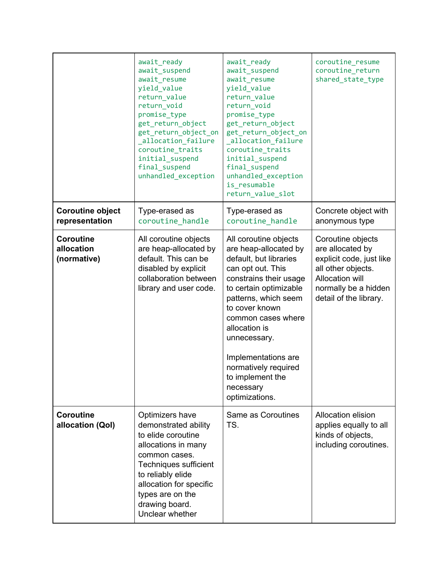|                                               | await_ready<br>await_suspend<br>await resume<br>yield_value<br>return_value<br>return void<br>promise_type<br>get_return_object<br>get_return_object_on<br>allocation_failure<br>coroutine_traits<br>initial_suspend<br>final_suspend<br>unhandled_exception | await_ready<br>await_suspend<br>await_resume<br>yield_value<br>return_value<br>return_void<br>promise_type<br>get_return_object<br>get_return_object_on<br>_allocation_failure<br>coroutine traits<br>initial_suspend<br>final_suspend<br>unhandled_exception<br>is resumable<br>return_value_slot                                                   | coroutine_resume<br>coroutine_return<br>shared_state_type                                                                                                           |
|-----------------------------------------------|--------------------------------------------------------------------------------------------------------------------------------------------------------------------------------------------------------------------------------------------------------------|------------------------------------------------------------------------------------------------------------------------------------------------------------------------------------------------------------------------------------------------------------------------------------------------------------------------------------------------------|---------------------------------------------------------------------------------------------------------------------------------------------------------------------|
| <b>Coroutine object</b><br>representation     | Type-erased as<br>coroutine_handle                                                                                                                                                                                                                           | Type-erased as<br>coroutine_handle                                                                                                                                                                                                                                                                                                                   | Concrete object with<br>anonymous type                                                                                                                              |
| <b>Coroutine</b><br>allocation<br>(normative) | All coroutine objects<br>are heap-allocated by<br>default. This can be<br>disabled by explicit<br>collaboration between<br>library and user code.                                                                                                            | All coroutine objects<br>are heap-allocated by<br>default, but libraries<br>can opt out. This<br>constrains their usage<br>to certain optimizable<br>patterns, which seem<br>to cover known<br>common cases where<br>allocation is<br>unnecessary.<br>Implementations are<br>normatively required<br>to implement the<br>necessary<br>optimizations. | Coroutine objects<br>are allocated by<br>explicit code, just like<br>all other objects.<br><b>Allocation will</b><br>normally be a hidden<br>detail of the library. |
| <b>Coroutine</b><br>allocation (Qol)          | Optimizers have<br>demonstrated ability<br>to elide coroutine<br>allocations in many<br>common cases.<br>Techniques sufficient<br>to reliably elide<br>allocation for specific<br>types are on the<br>drawing board.<br>Unclear whether                      | Same as Coroutines<br>TS.                                                                                                                                                                                                                                                                                                                            | Allocation elision<br>applies equally to all<br>kinds of objects,<br>including coroutines.                                                                          |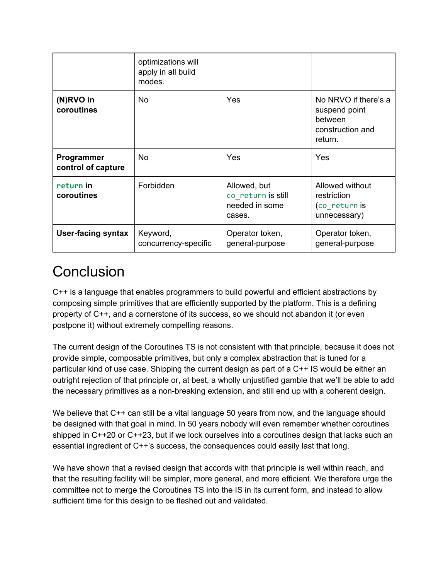|                                         | optimizations will<br>apply in all build<br>modes. |                                                                |                                                                                 |
|-----------------------------------------|----------------------------------------------------|----------------------------------------------------------------|---------------------------------------------------------------------------------|
| (N)RVO in<br>coroutines                 | No.                                                | <b>Yes</b>                                                     | No NRVO if there's a<br>suspend point<br>between<br>construction and<br>return. |
| <b>Programmer</b><br>control of capture | No.                                                | Yes                                                            | Yes                                                                             |
| return in<br>coroutines                 | Forbidden                                          | Allowed, but<br>co return is still<br>needed in some<br>cases. | Allowed without<br>restriction<br>(co_return is<br>unnecessary)                 |
| <b>User-facing syntax</b>               | Keyword,<br>concurrency-specific                   | Operator token,<br>general-purpose                             | Operator token,<br>general-purpose                                              |

### <span id="page-20-0"></span>**Conclusion**

C++ is a language that enables programmers to build powerful and efficient abstractions by composing simple primitives that are efficiently supported by the platform. This is a defining property of C++, and a cornerstone of its success, so we should not abandon it (or even postpone it) without extremely compelling reasons.

The current design of the Coroutines TS is not consistent with that principle, because it does not provide simple, composable primitives, but only a complex abstraction that is tuned for a particular kind of use case. Shipping the current design as part of a C++ IS would be either an outright rejection of that principle or, at best, a wholly unjustified gamble that we'll be able to add the necessary primitives as a non-breaking extension, and still end up with a coherent design.

We believe that C++ can still be a vital language 50 years from now, and the language should be designed with that goal in mind. In 50 years nobody will even remember whether coroutines shipped in C++20 or C++23, but if we lock ourselves into a coroutines design that lacks such an essential ingredient of C++'s success, the consequences could easily last that long.

We have shown that a revised design that accords with that principle is well within reach, and that the resulting facility will be simpler, more general, and more efficient. We therefore urge the committee not to merge the Coroutines TS into the IS in its current form, and instead to allow sufficient time for this design to be fleshed out and validated.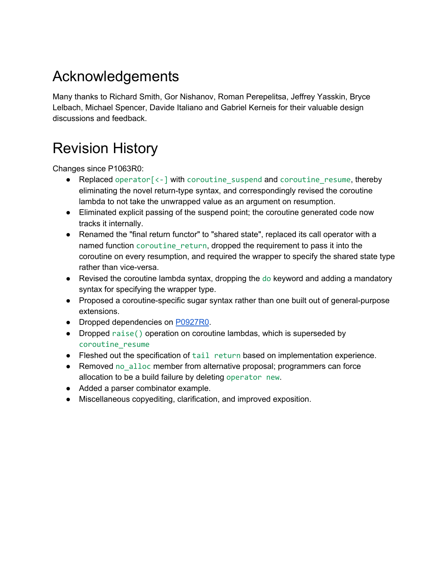## <span id="page-21-0"></span>Acknowledgements

Many thanks to Richard Smith, Gor Nishanov, Roman Perepelitsa, Jeffrey Yasskin, Bryce Lelbach, Michael Spencer, Davide Italiano and Gabriel Kerneis for their valuable design discussions and feedback.

## <span id="page-21-1"></span>Revision History

Changes since P1063R0:

- Replaced operator<sup>[<-</sup>] with coroutine suspend and coroutine resume, thereby eliminating the novel return-type syntax, and correspondingly revised the coroutine lambda to not take the unwrapped value as an argument on resumption.
- Eliminated explicit passing of the suspend point; the coroutine generated code now tracks it internally.
- Renamed the "final return functor" to "shared state", replaced its call operator with a named function coroutine\_return, dropped the requirement to pass it into the coroutine on every resumption, and required the wrapper to specify the shared state type rather than vice-versa.
- Revised the coroutine lambda syntax, dropping the do keyword and adding a mandatory syntax for specifying the wrapper type.
- Proposed a coroutine-specific sugar syntax rather than one built out of general-purpose extensions.
- Dropped dependencies on [P0927R0.](http://www.open-std.org/jtc1/sc22/wg21/docs/papers/2018/p0927r0.pdf)
- Dropped raise() operation on coroutine lambdas, which is superseded by coroutine\_resume
- Fleshed out the specification of tail return based on implementation experience.
- Removed no\_alloc member from alternative proposal; programmers can force allocation to be a build failure by deleting operator new.
- Added a parser combinator example.
- Miscellaneous copyediting, clarification, and improved exposition.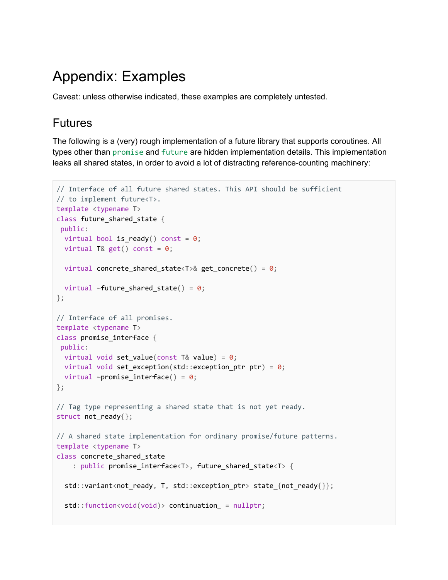### <span id="page-22-0"></span>Appendix: Examples

<span id="page-22-1"></span>Caveat: unless otherwise indicated, these examples are completely untested.

#### Futures

The following is a (very) rough implementation of a future library that supports coroutines. All types other than promise and future are hidden implementation details. This implementation leaks all shared states, in order to avoid a lot of distracting reference-counting machinery:

```
// Interface of all future shared states. This API should be sufficient
// to implement future<T>.
template <typename T>
class future_shared_state {
 public:
 virtual bool is_ready() const = 0;
 virtual T& get() const = 0;virtual concrete_shared_state<T>& get_concrete() = 0;
 virtual ~\simfuture_shared_state() = 0;
};
// Interface of all promises.
template <typename T>
class promise_interface {
 public:
 virtual void set_value(const T& value) = 0;virtual void set exception(std::exception ptr ptr) = 0;
 virtual ~promise_interface() = 0;
};
// Tag type representing a shared state that is not yet ready.
struct not_ready{};
// A shared state implementation for ordinary promise/future patterns.
template <typename T>
class concrete_shared_state
    : public promise_interface<T>, future_shared_state<T> {
  std::variant<not_ready, T, std::exception_ptr> state_{not_ready{}};
  std::function<void(void)> continuation_ = nullptr;
```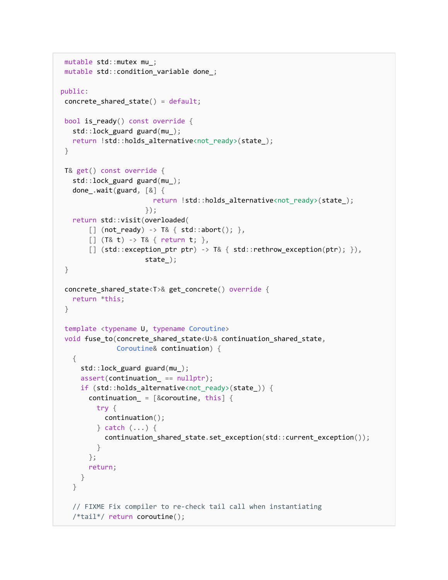```
mutable std::mutex mu_;
mutable std::condition_variable done_;
public:
concrete_shared_state() = default;
bool is_ready() const override {
  std::lock_guard guard(mu_);
  return !std::holds_alternative<not_ready>(state_);
}
T& get() const override {
  std::lock_guard guard(mu_);
  done_.wait(guard, [&] {
                       return !std::holds_alternative<not_ready>(state_);
                     });
  return std::visit(overloaded(
       [] (not_ready) -> T& { std::abort(); },
       [] (T& t) -> T& { return t; },
       [] (stat:exception\_ptr ptr) -> T& { std::rethrow_exception(ptr); }),
                     state_);
}
concrete_shared_state<T>& get_concrete() override {
  return *this;
}
template <typename U, typename Coroutine>
void fuse_to(concrete_shared_state<U>& continuation_shared_state,
              Coroutine& continuation) {
  {
     std::lock_guard guard(mu_);
     assert(continuation_ == nullptr);
     if (std::holds_alternative<not_ready>(state_)) {
       continuation_ = [&coroutine, this] {
         try {
          continuation();
         } catch (...) {
           continuation_shared_state.set_exception(std::current_exception());
         }
       };
      return;
    }
  }
  // FIXME Fix compiler to re-check tail call when instantiating
   /*tail*/ return coroutine();
```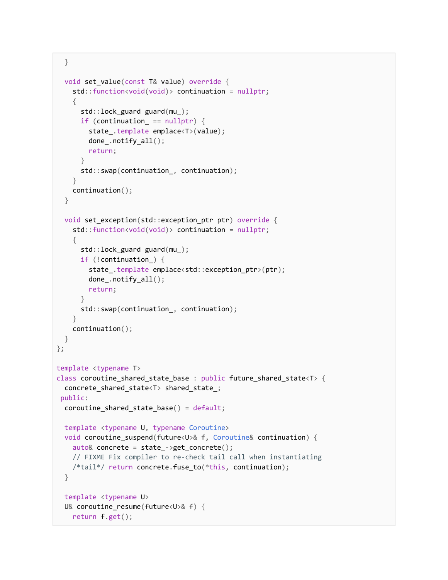```
}
  void set value(const T& value) override {
    std::function<void(void)> continuation = nullptr;
    {
      std::lock_guard guard(mu_);
      if (continuation_ == nullptr) {
        state_.template emplace<T>(value);
        done_.notify_all();
        return;
      }
      std::swap(continuation_, continuation);
    }
    continuation();
  }
  void set_exception(std::exception_ptr ptr) override {
    std::function<void(void)> continuation = nullptr;
    {
      std::lock_guard guard(mu_);
     if (!continuation_) {
        state_.template emplace<std::exception_ptr>(ptr);
        done_.notify_all();
        return;
      }
      std::swap(continuation_, continuation);
    }
    continuation();
 }
};
template <typename T>
class coroutine_shared_state_base : public future_shared_state<T> {
 concrete_shared_state<T> shared_state_;
 public:
 coroutine_shared_state_base() = default;
 template <typename U, typename Coroutine>
 void coroutine_suspend(future<U>& f, Coroutine& continuation) {
    auto& concrete = state_->get_concrete();
    // FIXME Fix compiler to re-check tail call when instantiating
    /*tail*/ return concrete.fuse_to(*this, continuation);
  }
 template <typename U>
  U& coroutine_resume(future<U>& f) {
    return f.get();
```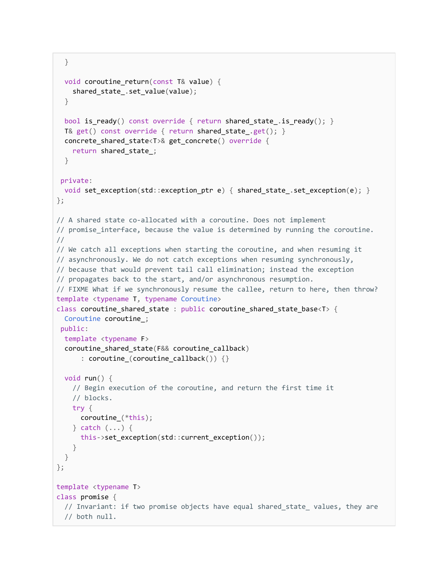```
}
 void coroutine return(const T& value) {
    shared_state_.set_value(value);
  }
  bool is_ready() const override { return shared_state_.is_ready(); }
  T& get() const override { return shared_state_.get(); }
  concrete_shared_state<T>& get_concrete() override {
    return shared state ;
  }
 private:
 void set_exception(std::exception_ptr e) {        shared_state_.set_exception(e);    }
};
// A shared state co-allocated with a coroutine. Does not implement
// promise_interface, because the value is determined by running the coroutine.
//
// We catch all exceptions when starting the coroutine, and when resuming it
// asynchronously. We do not catch exceptions when resuming synchronously,
// because that would prevent tail call elimination; instead the exception
// propagates back to the start, and/or asynchronous resumption.
// FIXME What if we synchronously resume the callee, return to here, then throw?
template <typename T, typename Coroutine>
class coroutine_shared_state : public coroutine_shared_state_base<T> {
 Coroutine coroutine_;
 public:
 template <typename F>
  coroutine_shared_state(F&& coroutine_callback)
      : coroutine_(coroutine_callback()) {}
  void run() {
    // Begin execution of the coroutine, and return the first time it
    // blocks.
   try {
     coroutine_(*this);
    } catch (...) {
      this->set_exception(std::current_exception());
    }
 }
};
template <typename T>
class promise {
  // Invariant: if two promise objects have equal shared_state_ values, they are
  // both null.
```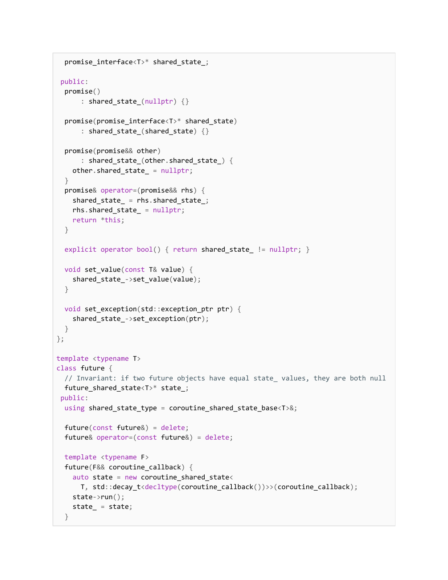```
promise_interface<T>* shared_state_;
public:
 promise()
      : shared_state_(nullptr) {}
 promise(promise_interface<T>* shared_state)
      : shared_state_(shared_state) {}
  promise(promise&& other)
      : shared_state_(other.shared_state_) {
   other.shared_state_ = nullptr;
 }
 promise& operator=(promise&& rhs) {
   shared_state_ = rhs.shared_state_;
   rhs.shared state = nullptr;
   return *this;
 }
 explicit operator bool() { return shared_state_ != nullptr; }
 void set_value(const T& value) {
   shared_state_->set_value(value);
 }
 void set_exception(std::exception_ptr ptr) {
   shared_state_->set_exception(ptr);
 }
};
template <typename T>
class future {
 // Invariant: if two future objects have equal state_ values, they are both null
 future_shared_state<T>* state_;
public:
 using shared_state_type = coroutine_shared_state_base<T>&;
 future(const future&) = delete;
 future& operator=(const future&) = delete;
 template <typename F>
 future(F&& coroutine_callback) {
   auto state = new coroutine shared state<
     T, std::decay_t<decltype(coroutine_callback())>>(coroutine_callback);
   state->run();
   state_ = state;
 }
```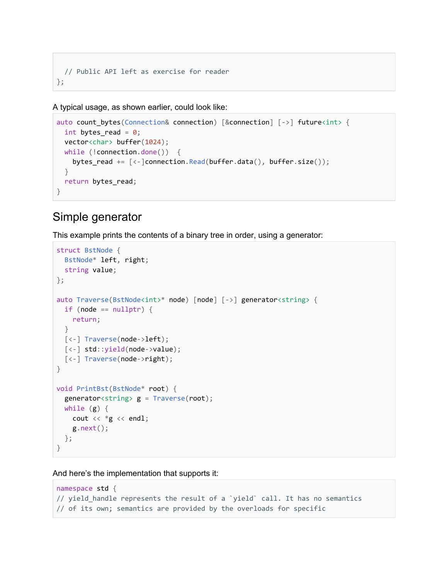```
// Public API left as exercise for reader
};
```
A typical usage, as shown earlier, could look like:

```
auto count_bytes(Connection& connection) [&connection] [->] future<int> {
 int bytes_read = 0;
 vector<char> buffer(1024);
 while (!connection.done()) {
   bytes read += [\langle -]connection.Read(buffer.data(), buffer.size());
 }
 return bytes_read;
}
```
#### <span id="page-27-0"></span>Simple generator

This example prints the contents of a binary tree in order, using a generator:

```
struct BstNode {
 BstNode* left, right;
  string value;
};
auto Traverse(BstNode<int>* node) [node] [->] generator<string> {
  if (node == nullptr) {
    return;
  }
 [<-] Traverse(node->left);
  [<-] std::yield(node->value);
 [<-] Traverse(node->right);
}
void PrintBst(BstNode* root) {
  generator \langle string \rangle g = Traverse(root);
  while (g) {
    cout << *g << endl;
    g.next();
 };
}
```
And here's the implementation that supports it:

```
namespace std {
// yield_handle represents the result of a `yield` call. It has no semantics
// of its own; semantics are provided by the overloads for specific
```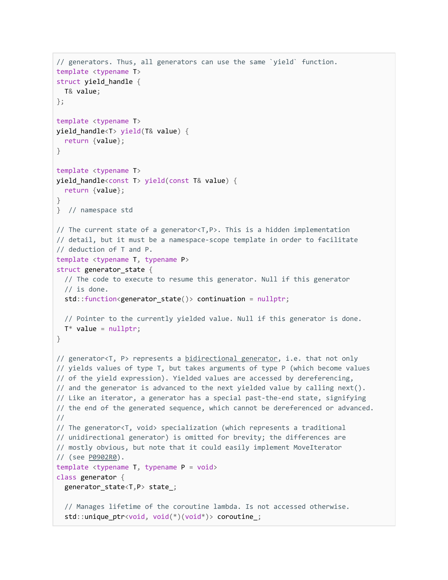```
// generators. Thus, all generators can use the same `yield` function.
template <typename T>
struct yield_handle {
 T& value;
};
template <typename T>
yield_handle<T> yield(T& value) {
 return {value};
}
template <typename T>
yield_handle<const T> yield(const T& value) {
 return {value};
}
} // namespace std
// The current state of a generator<T,P>. This is a hidden implementation
// detail, but it must be a namespace-scope template in order to facilitate
// deduction of T and P.
template <typename T, typename P>
struct generator_state {
 // The code to execute to resume this generator. Null if this generator
  // is done.
  std::function<generator_state()> continuation = nullptr;
 // Pointer to the currently yielded value. Null if this generator is done.
 T^* value = nullptr;
}
bidirectional generator, i.e. that not only
// yields values of type T, but takes arguments of type P (which become values
// of the yield expression). Yielded values are accessed by dereferencing,
// and the generator is advanced to the next yielded value by calling next().
// Like an iterator, a generator has a special past-the-end state, signifying
// the end of the generated sequence, which cannot be dereferenced or advanced.
//
// The generator<T, void> specialization (which represents a traditional
// unidirectional generator) is omitted for brevity; the differences are
// mostly obvious, but note that it could easily implement MoveIterator
// (see P0902R0).
template <typename T, typename P = void>
class generator {
  generator_state<T,P> state_;
  // Manages lifetime of the coroutine lambda. Is not accessed otherwise.
  std::unique_ptr<void, void(*)(void*)> coroutine_;
```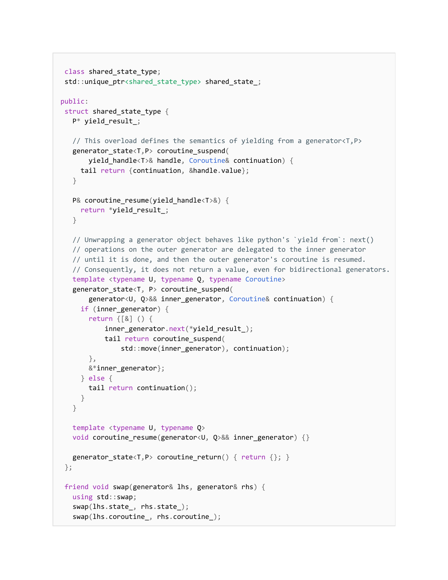```
class shared_state_type;
 std::unique_ptr<shared_state_type> shared_state_;
public:
struct shared_state_type {
  P* yield_result_;
  // This overload defines the semantics of yielding from a generator<T,P>
   generator_state<T,P> coroutine_suspend(
       yield_handle<T>& handle, Coroutine& continuation) {
    tail return {continuation, &handle.value};
  }
  P& coroutine_resume(yield_handle<T>&) {
    return *yield_result_;
   }
  // Unwrapping a generator object behaves like python's `yield from`: next()
  // operations on the outer generator are delegated to the inner generator
  // until it is done, and then the outer generator's coroutine is resumed.
  // Consequently, it does not return a value, even for bidirectional generators.
  template <typename U, typename Q, typename Coroutine>
   generator_state<T, P> coroutine_suspend(
       generator<U, Q>&& inner_generator, Coroutine& continuation) {
    if (inner_generator) {
       return {[&] () {
           inner_generator.next(*yield_result_);
           tail return coroutine_suspend(
               std::move(inner_generator), continuation);
       },
      &*inner_generator};
     } else {
      tail return continuation();
     }
  }
  template <typename U, typename Q>
  void coroutine_resume(generator<U, Q>&& inner_generator) {}
  generator_state<T,P> coroutine_return() { return {}; }
};
friend void swap(generator& lhs, generator& rhs) {
  using std::swap;
   swap(lhs.state_, rhs.state_);
   swap(lhs.coroutine_, rhs.coroutine_);
```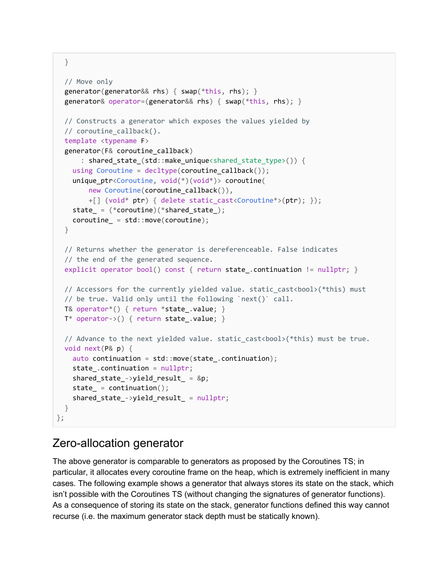```
}
```

```
// Move only
  generator(generator&& rhs) { swap(*this, rhs); }
  generator& operator=(generator&& rhs) { swap(*this, rhs); }
 // Constructs a generator which exposes the values yielded by
  // coroutine_callback().
 template <typename F>
  generator(F& coroutine_callback)
      : shared_state_(std::make_unique<shared_state_type>()) {
   using Coroutine = decltype(coroutine_callback());
   unique_ptr<Coroutine, void(*)(void*)> coroutine(
       new Coroutine(coroutine_callback()),
       +[] (void* ptr) { delete static_cast<Coroutine*>(ptr); });
   state = (*covotine)(*shared state);coroutines_ = std:move(coroutine);}
 // Returns whether the generator is dereferenceable. False indicates
 // the end of the generated sequence.
 explicit operator bool() const { return state_.continuation != nullptr; }
 // Accessors for the currently yielded value. static_cast<bool>(*this) must
 // be true. Valid only until the following `next()` call.
 T& operator*() { return *state_.value; }
 T* operator->() { return state_.value; }
 // Advance to the next yielded value. static_cast<bool>(*this) must be true.
 void next(P& p) {
   auto continuation = std::move(state_.continuation);
   state_.continuation = nullptr;
   shared_state_->yield_result_ = &p;
   state = continuation();
   shared_state_->yield_result_ = nullptr;
 }
};
```
### <span id="page-30-0"></span>Zero-allocation generator

The above generator is comparable to generators as proposed by the Coroutines TS; in particular, it allocates every coroutine frame on the heap, which is extremely inefficient in many cases. The following example shows a generator that always stores its state on the stack, which isn't possible with the Coroutines TS (without changing the signatures of generator functions). As a consequence of storing its state on the stack, generator functions defined this way cannot recurse (i.e. the maximum generator stack depth must be statically known).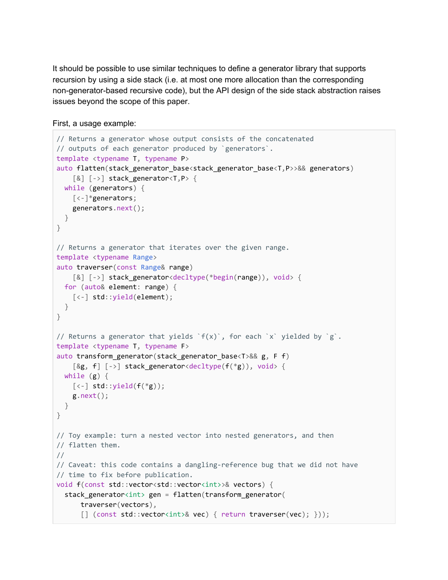It should be possible to use similar techniques to define a generator library that supports recursion by using a side stack (i.e. at most one more allocation than the corresponding non-generator-based recursive code), but the API design of the side stack abstraction raises issues beyond the scope of this paper.

```
First, a usage example:
```

```
// Returns a generator whose output consists of the concatenated
// outputs of each generator produced by `generators`.
template <typename T, typename P>
auto flatten(stack_generator_base<stack_generator_base<T,P>>&& generators)
    \lceil \& \rceil \lceil - \rangle stack generator < T, P \lceilwhile (generators) {
    [<-]*generators;
    generators.next();
 }
}
// Returns a generator that iterates over the given range.
template <typename Range>
auto traverser(const Range& range)
    [&] [->] stack_generator<decltype(*begin(range)), void> {
 for (auto& element: range) {
    [<-] std::yield(element);
  }
}
// Returns a generator that yields `f(x)`, for each `x` yielded by `g`.
template <typename T, typename F>
auto transform_generator(stack_generator_base<T>&& g, F f)
    [&g, f] [->] stack_generator<decltype(f(*g)), void> {
 while (g) {
    [\langle -] std::yield(f(*g));
    g.next();
 }
}
// Toy example: turn a nested vector into nested generators, and then
// flatten them.
//
// Caveat: this code contains a dangling-reference bug that we did not have
// time to fix before publication.
void f(const std::vector<std::vector<int>>& vectors) {
  stack_generator<int> gen = flatten(transform_generator(
      traverser(vectors),
      [] (const std::vector<int>& vec) { return traverser(vec); }));
```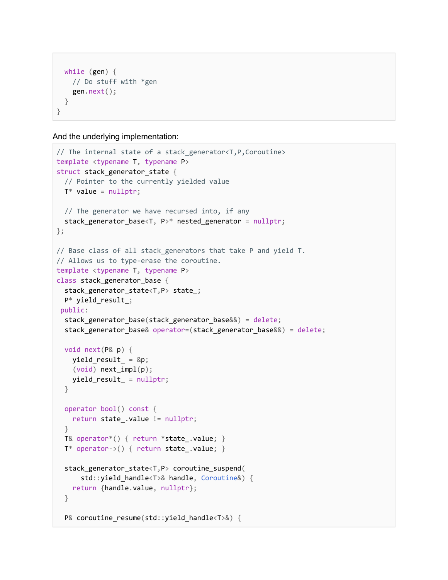```
while (gen) {
   // Do stuff with *gen
   gen.next();
 }
}
```
And the underlying implementation:

```
// The internal state of a stack_generator<T,P,Coroutine>
template <typename T, typename P>
struct stack generator state {
  // Pointer to the currently yielded value
 T^* value = nullptr;
 // The generator we have recursed into, if any
 stack_generator_base<T, P>* nested_generator = nullptr;
};
// Base class of all stack generators that take P and yield T.
// Allows us to type-erase the coroutine.
template <typename T, typename P>
class stack_generator_base {
  stack_generator_state<T,P> state_;
 P* yield_result_;
public:
  stack_generator_base(stack_generator_base&&) = delete;
  stack_generator_base& operator=(stack_generator_base&&) = delete;
 void next(P& p) {
    yield\_result_ = \&p;(void) next_impl(p);
    yield_result_ = nullptr;
  }
 operator bool() const {
    return state_.value != nullptr;
  }
 T& operator*() { return *state_.value; }
 T^* operator->() { return state_.value; }
  stack_generator_state<T,P> coroutine_suspend(
      std::yield_handle<T>& handle, Coroutine&) {
    return {handle.value, nullptr};
  }
  P& coroutine_resume(std::yield_handle<T>&) {
```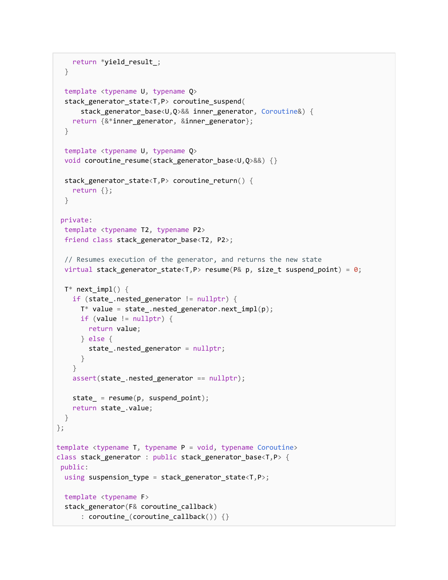```
return *yield_result_;
  }
 template <typename U, typename Q>
  stack_generator_state<T,P> coroutine_suspend(
      stack_generator_base<U,Q>&& inner_generator, Coroutine&) {
    return {&*inner_generator, &inner_generator};
  }
 template <typename U, typename Q>
 void coroutine_resume(stack_generator_base<U,Q>&&) {}
  stack_generator_state<T,P> coroutine_return() {
    return {};
  }
 private:
 template <typename T2, typename P2>
 friend class stack_generator_base<T2, P2>;
 // Resumes execution of the generator, and returns the new state
 virtual stack_generator_state<T,P> resume(P& p, size_t suspend_point) = 0;
 T^* next_impl() {
    if (state .nested generator != nullptr) {
      T^* value = state_.nested_generator.next_impl(p);
     if (value != nullptr) {
        return value;
      } else {
        state_.nested_generator = nullptr;
      }
    }
    assert(state_.nested_generator == nullptr);
    state_ = resume(p, suspend\_point);return state_.value;
 }
};
template <typename T, typename P = void, typename Coroutine>
class stack_generator : public stack_generator_base<T,P> {
public:
 using suspension_type = stack_generator_state<T,P>;
 template <typename F>
  stack_generator(F& coroutine_callback)
      : coroutine_(coroutine_callback()) {}
```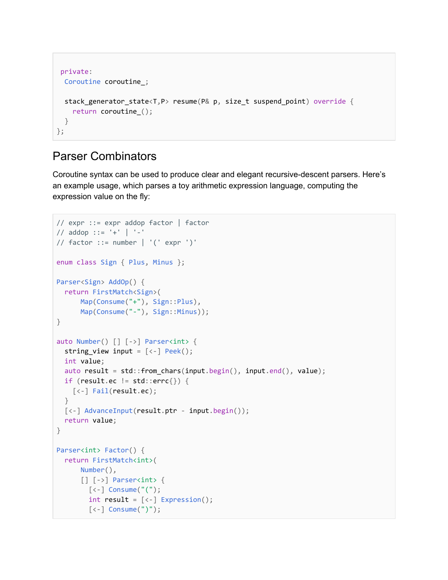```
private:
 Coroutine coroutine_;
 stack_generator_state<T,P> resume(P& p, size_t suspend_point) override {
   return coroutine_();
 }
};
```
#### <span id="page-34-0"></span>Parser Combinators

Coroutine syntax can be used to produce clear and elegant recursive-descent parsers. Here's an example usage, which parses a toy arithmetic expression language, computing the expression value on the fly:

```
// expr ::= expr addop factor | factor
// addop ::= '+' | '-'
// factor ::= number | ' (' expr ')'
enum class Sign { Plus, Minus };
Parser<Sign> AddOp() {
  return FirstMatch<Sign>(
      Map(Consume("+"), Sign::Plus),
      Map(Consume("-"), Sign::Minus));
}
auto Number() [] [->] Parser<int> {
  string_view input = [\langle -] Peek();
 int value;
  auto result = std::from_chars(input.begin(), input.end(), value);
  if (result.ec != std::errc{}) {
    [<-] Fail(result.ec);
  }
  [<-] AdvanceInput(result.ptr - input.begin());
  return value;
}
Parser<int> Factor() {
  return FirstMatch<int>(
      Number(),
      [ ] [- \rangle ] Parser<int> {
        [<-] Consume("(");
        int result = [\langle -] Expression();
        [<-] Consume(")");
```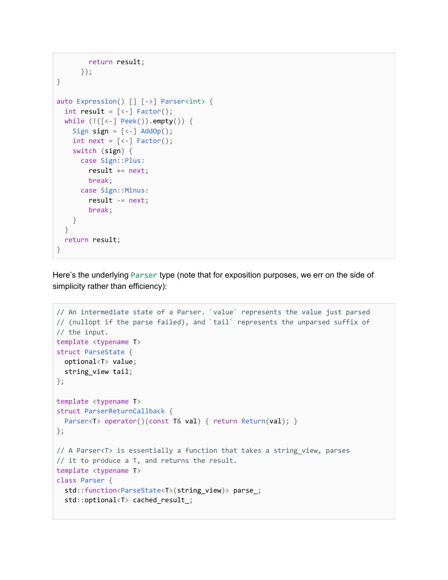```
return result;
      });
}
auto Expression() [] [->] Parser<int> {
 int result = [\langle -] Factor();
 while (!([<-] Peek()).empty()) {
    Sign sign = [\langle -] AddOp();
    int next = [\left\langle -\right] Factor();
    switch (sign) {
      case Sign::Plus:
        result += next;
        break;
      case Sign::Minus:
        result -= next;
        break;
    }
 }
 return result;
}
```
Here's the underlying Parser type (note that for exposition purposes, we err on the side of simplicity rather than efficiency):

```
// An intermediate state of a Parser. `value` represents the value just parsed
// (nullopt if the parse failed), and `tail` represents the unparsed suffix of
// the input.
template <typename T>
struct ParseState {
 optional<T> value;
 string_view tail;
};
template <typename T>
struct ParserReturnCallback {
 Parser<T> operator()(const T& val) { return Return(val); }
};
// A Parser<T> is essentially a function that takes a string_view, parses
// it to produce a T, and returns the result.
template <typename T>
class Parser {
  std::function<ParseState<T>(string_view)> parse_;
  std::optional<T> cached_result_;
```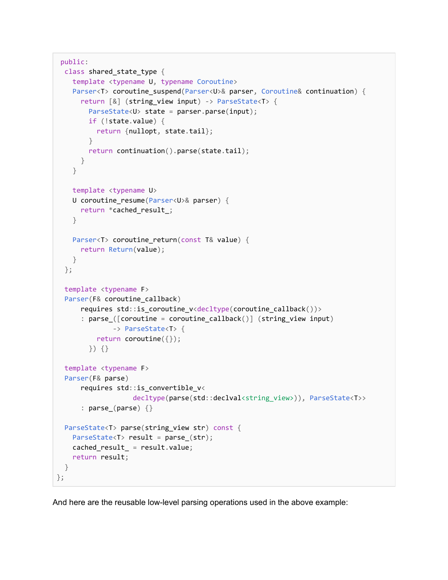```
public:
 class shared_state_type {
    template <typename U, typename Coroutine>
   Parser<T> coroutine_suspend(Parser<U>& parser, Coroutine& continuation) {
      return [&] (string_view input) -> ParseState<T> {
        ParseState<U> state = parser.parse(input);
       if (!state.value) {
          return {nullopt, state.tail};
        }
       return continuation().parse(state.tail);
     }
   }
   template <typename U>
   U coroutine_resume(Parser<U>& parser) {
     return *cached_result_;
   }
   Parser<T> coroutine_return(const T& value) {
     return Return(value);
   }
 };
 template <typename F>
 Parser(F& coroutine callback)
      requires std::is_coroutine_v<decltype(coroutine_callback())>
      : parse ([coroutine = coroutine callback()] (string view input)
              -> ParseState<T> {
          return coroutine({});
        }) {}
 template <typename F>
 Parser(F& parse)
      requires std::is_convertible_v<
                   decltype(parse(std::declval<string_view>)), ParseState<T>>
      : parse_(parse) {}
 ParseState<T> parse(string_view str) const {
   ParseState<T> result = parse_(str);
   cached_result_ = result.value;
   return result;
 }
};
```
And here are the reusable low-level parsing operations used in the above example: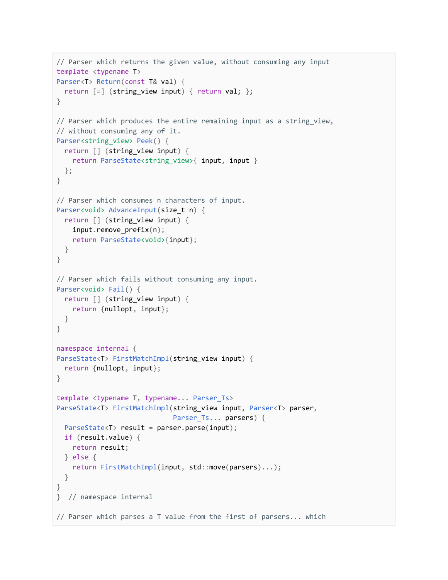```
// Parser which returns the given value, without consuming any input
template <typename T>
Parser<T> Return(const T& val) {
 return [-] (string_view input) { return val; };
}
// Parser which produces the entire remaining input as a string_view,
// without consuming any of it.
Parser<string_view> Peek() {
  return [] (string_view input) {
    return ParseState<string_view>{ input, input }
 };
}
// Parser which consumes n characters of input.
Parser<void> AdvanceInput(size t n) {
 return [] (string_view input) {
    input.remove_prefix(n);
    return ParseState<void>{input};
 }
}
// Parser which fails without consuming any input.
Parser<void> Fail() {
 return [] (string_view input) {
    return {nullopt, input};
 }
}
namespace internal {
ParseState<T> FirstMatchImpl(string_view input) {
 return {nullopt, input};
}
template <typename T, typename... Parser_Ts>
ParseState<T> FirstMatchImpl(string_view input, Parser<T> parser,
                             Parser_Ts... parsers) {
 ParseState<T> result = parser.parse(input);
 if (result.value) {
   return result;
 } else {
    return FirstMatchImpl(input, std::move(parsers)...);
  }
}
} // namespace internal
// Parser which parses a T value from the first of parsers... which
```